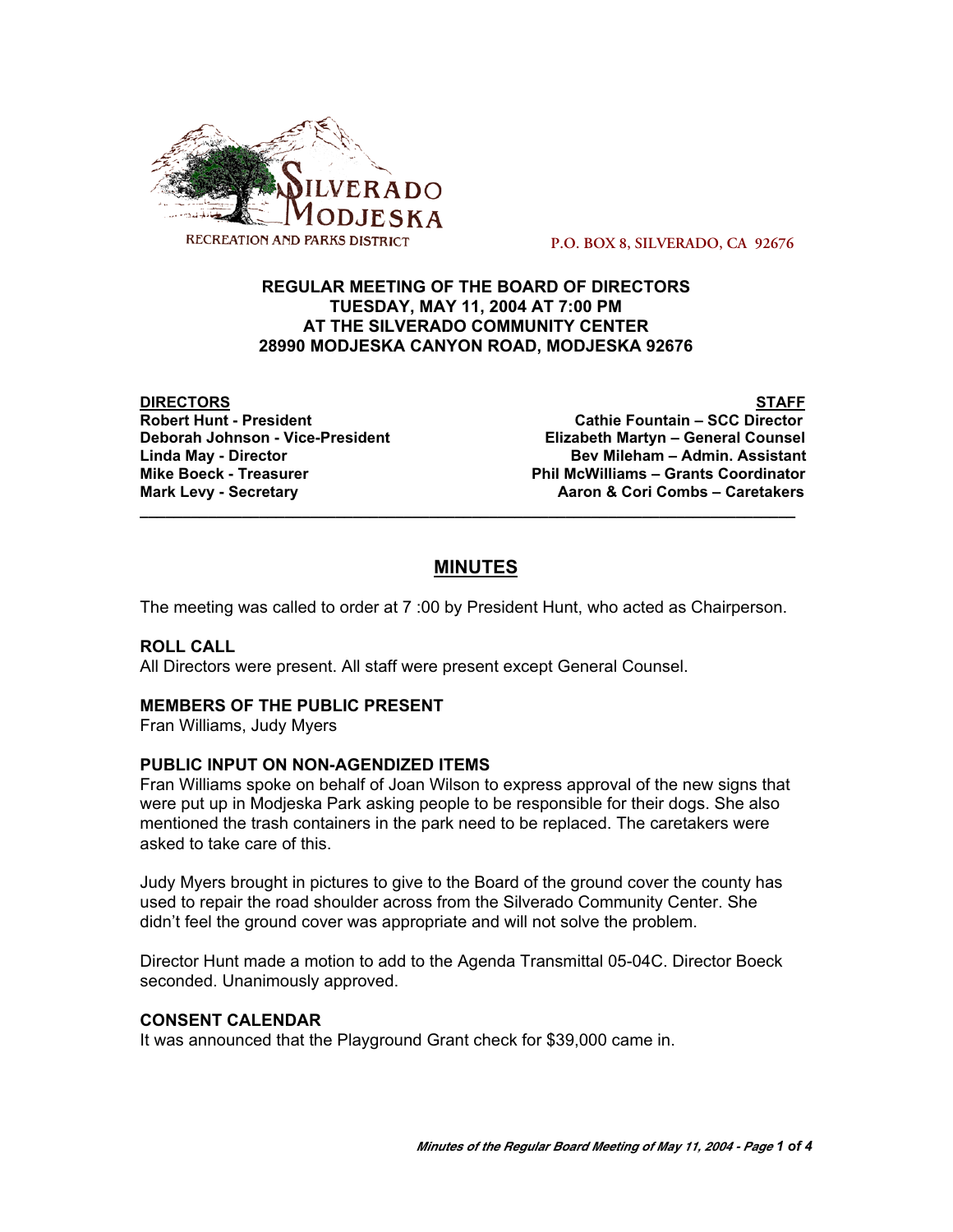

 **P.O. BOX 8, SILVERADO, CA 92676**

# **REGULAR MEETING OF THE BOARD OF DIRECTORS TUESDAY, MAY 11, 2004 AT 7:00 PM AT THE SILVERADO COMMUNITY CENTER 28990 MODJESKA CANYON ROAD, MODJESKA 92676**

**DIRECTORS STAFF**

**Robert Hunt - President Cathie Fountain – SCC Director Elizabeth Martyn – General Counsel Linda May - Director Bev Mileham – Admin. Assistant Mike Boeck - Treasurer Phil McWilliams – Grants Coordinator Mark Levy - Secretary Combus 4 Aaron & Cori Combs – Caretakers** 

# **MINUTES**

**\_\_\_\_\_\_\_\_\_\_\_\_\_\_\_\_\_\_\_\_\_\_\_\_\_\_\_\_\_\_\_\_\_\_\_\_\_\_\_\_\_\_\_\_\_\_\_\_\_\_\_\_\_\_\_\_\_\_\_\_\_\_\_\_\_\_\_\_\_\_\_\_\_\_\_\_\_**

The meeting was called to order at 7 :00 by President Hunt, who acted as Chairperson.

## **ROLL CALL**

All Directors were present. All staff were present except General Counsel.

## **MEMBERS OF THE PUBLIC PRESENT**

Fran Williams, Judy Myers

## **PUBLIC INPUT ON NON-AGENDIZED ITEMS**

Fran Williams spoke on behalf of Joan Wilson to express approval of the new signs that were put up in Modjeska Park asking people to be responsible for their dogs. She also mentioned the trash containers in the park need to be replaced. The caretakers were asked to take care of this.

Judy Myers brought in pictures to give to the Board of the ground cover the county has used to repair the road shoulder across from the Silverado Community Center. She didn't feel the ground cover was appropriate and will not solve the problem.

Director Hunt made a motion to add to the Agenda Transmittal 05-04C. Director Boeck seconded. Unanimously approved.

## **CONSENT CALENDAR**

It was announced that the Playground Grant check for \$39,000 came in.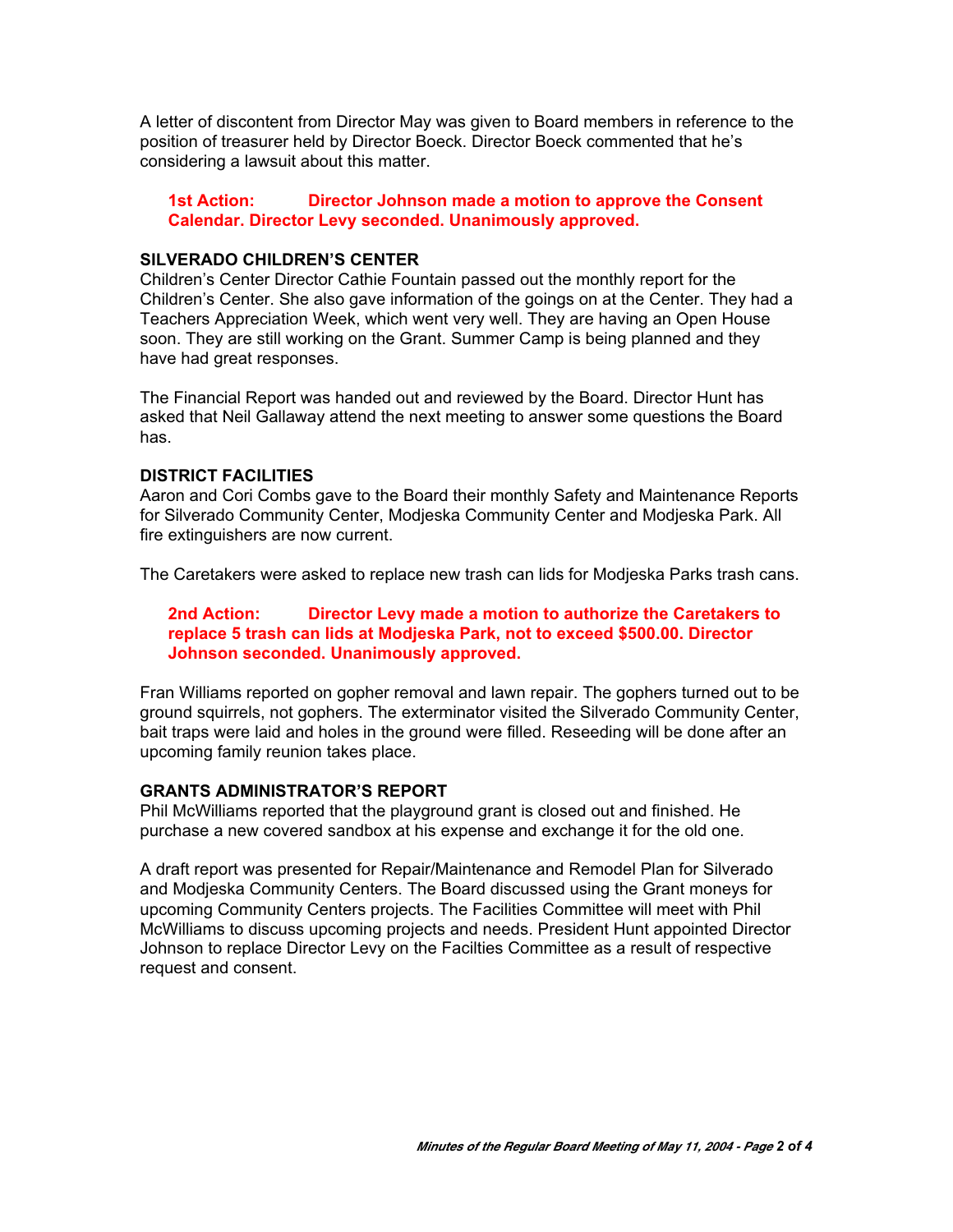A letter of discontent from Director May was given to Board members in reference to the position of treasurer held by Director Boeck. Director Boeck commented that he's considering a lawsuit about this matter.

**1st Action: Director Johnson made a motion to approve the Consent Calendar. Director Levy seconded. Unanimously approved.**

#### **SILVERADO CHILDREN'S CENTER**

Children's Center Director Cathie Fountain passed out the monthly report for the Children's Center. She also gave information of the goings on at the Center. They had a Teachers Appreciation Week, which went very well. They are having an Open House soon. They are still working on the Grant. Summer Camp is being planned and they have had great responses.

The Financial Report was handed out and reviewed by the Board. Director Hunt has asked that Neil Gallaway attend the next meeting to answer some questions the Board has.

#### **DISTRICT FACILITIES**

Aaron and Cori Combs gave to the Board their monthly Safety and Maintenance Reports for Silverado Community Center, Modjeska Community Center and Modjeska Park. All fire extinguishers are now current.

The Caretakers were asked to replace new trash can lids for Modjeska Parks trash cans.

## **2nd Action: Director Levy made a motion to authorize the Caretakers to replace 5 trash can lids at Modjeska Park, not to exceed \$500.00. Director Johnson seconded. Unanimously approved.**

Fran Williams reported on gopher removal and lawn repair. The gophers turned out to be ground squirrels, not gophers. The exterminator visited the Silverado Community Center, bait traps were laid and holes in the ground were filled. Reseeding will be done after an upcoming family reunion takes place.

#### **GRANTS ADMINISTRATOR'S REPORT**

Phil McWilliams reported that the playground grant is closed out and finished. He purchase a new covered sandbox at his expense and exchange it for the old one.

A draft report was presented for Repair/Maintenance and Remodel Plan for Silverado and Modjeska Community Centers. The Board discussed using the Grant moneys for upcoming Community Centers projects. The Facilities Committee will meet with Phil McWilliams to discuss upcoming projects and needs. President Hunt appointed Director Johnson to replace Director Levy on the Facilties Committee as a result of respective request and consent.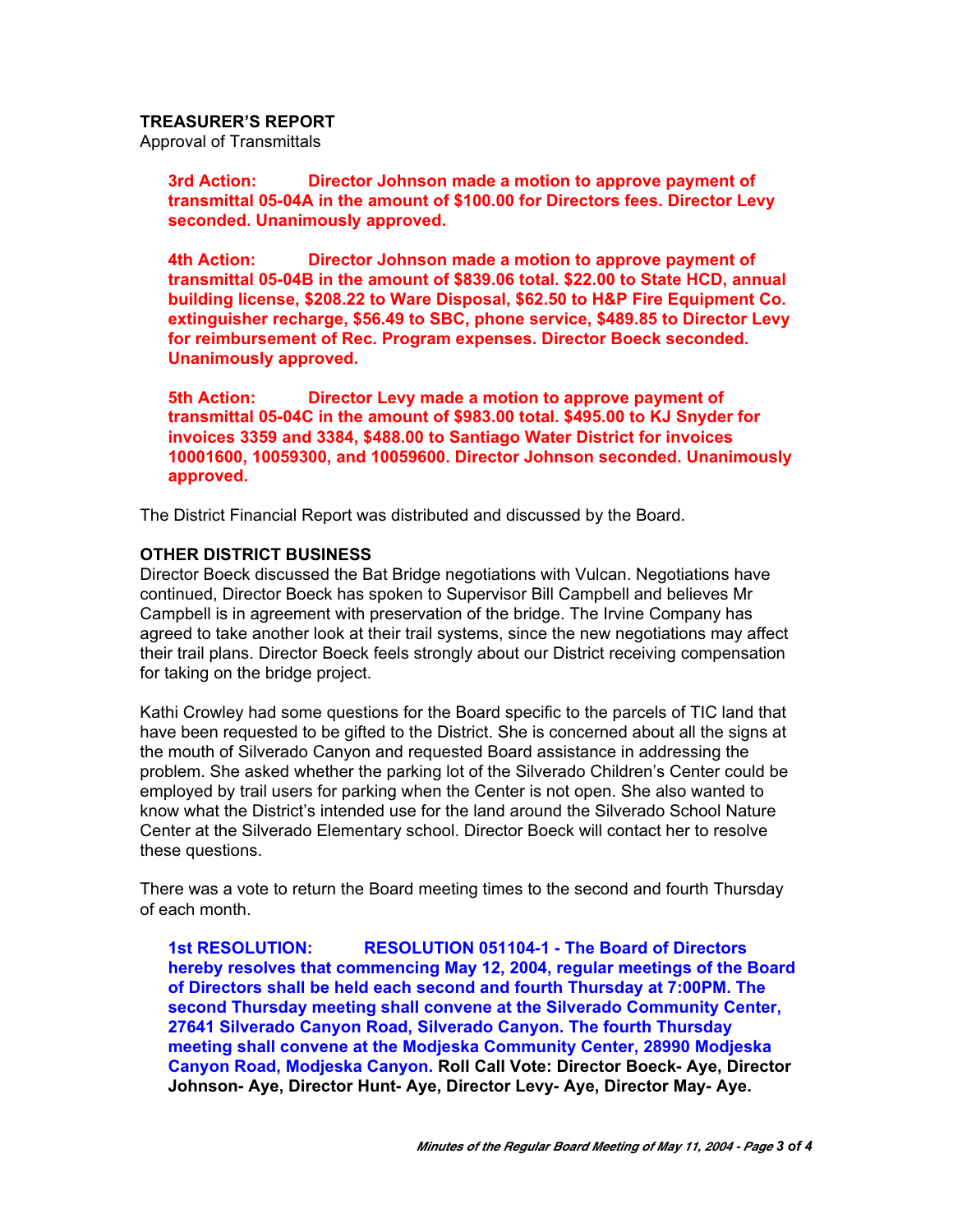**TREASURER'S REPORT**

Approval of Transmittals

**3rd Action: Director Johnson made a motion to approve payment of transmittal 05-04A in the amount of \$100.00 for Directors fees. Director Levy seconded. Unanimously approved.**

**4th Action: Director Johnson made a motion to approve payment of transmittal 05-04B in the amount of \$839.06 total. \$22.00 to State HCD, annual building license, \$208.22 to Ware Disposal, \$62.50 to H&P Fire Equipment Co. extinguisher recharge, \$56.49 to SBC, phone service, \$489.85 to Director Levy for reimbursement of Rec. Program expenses. Director Boeck seconded. Unanimously approved.**

**5th Action: Director Levy made a motion to approve payment of transmittal 05-04C in the amount of \$983.00 total. \$495.00 to KJ Snyder for invoices 3359 and 3384, \$488.00 to Santiago Water District for invoices 10001600, 10059300, and 10059600. Director Johnson seconded. Unanimously approved.**

The District Financial Report was distributed and discussed by the Board.

## **OTHER DISTRICT BUSINESS**

Director Boeck discussed the Bat Bridge negotiations with Vulcan. Negotiations have continued, Director Boeck has spoken to Supervisor Bill Campbell and believes Mr Campbell is in agreement with preservation of the bridge. The Irvine Company has agreed to take another look at their trail systems, since the new negotiations may affect their trail plans. Director Boeck feels strongly about our District receiving compensation for taking on the bridge project.

Kathi Crowley had some questions for the Board specific to the parcels of TIC land that have been requested to be gifted to the District. She is concerned about all the signs at the mouth of Silverado Canyon and requested Board assistance in addressing the problem. She asked whether the parking lot of the Silverado Children's Center could be employed by trail users for parking when the Center is not open. She also wanted to know what the District's intended use for the land around the Silverado School Nature Center at the Silverado Elementary school. Director Boeck will contact her to resolve these questions.

There was a vote to return the Board meeting times to the second and fourth Thursday of each month.

**1st RESOLUTION: RESOLUTION 051104-1 - The Board of Directors hereby resolves that commencing May 12, 2004, regular meetings of the Board of Directors shall be held each second and fourth Thursday at 7:00PM. The second Thursday meeting shall convene at the Silverado Community Center, 27641 Silverado Canyon Road, Silverado Canyon. The fourth Thursday meeting shall convene at the Modjeska Community Center, 28990 Modjeska Canyon Road, Modjeska Canyon. Roll Call Vote: Director Boeck- Aye, Director Johnson- Aye, Director Hunt- Aye, Director Levy- Aye, Director May- Aye.**